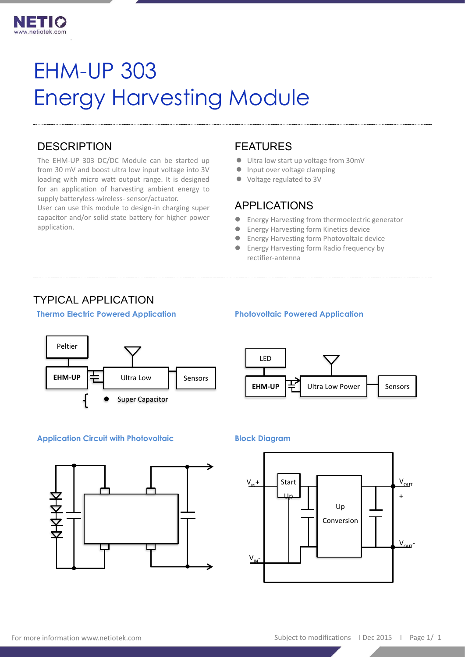

# EHM-UP 303 Energy Harvesting Module

### **DESCRIPTION**

.

The EHM-UP 303 DC/DC Module can be started up from 30 mV and boost ultra low input voltage into 3V loading with micro watt output range. It is designed for an application of harvesting ambient energy to supply batteryless-wireless- sensor/actuator.

User can use this module to design-in charging super capacitor and/or solid state battery for higher power application.

#### FEATURES

- ⚫ Ultra low start up voltage from 30mV
- Input over voltage clamping
- ⚫ Voltage regulated to 3V

#### APPLICATIONS

- ⚫ Energy Harvesting from thermoelectric generator
- Energy Harvesting form Kinetics device
- Energy Harvesting form Photovoltaic device
- Energy Harvesting form Radio frequency by rectifier-antenna

# TYPICAL APPLICATION







#### **Application Circuit with Photovoltaic Block Diagram**



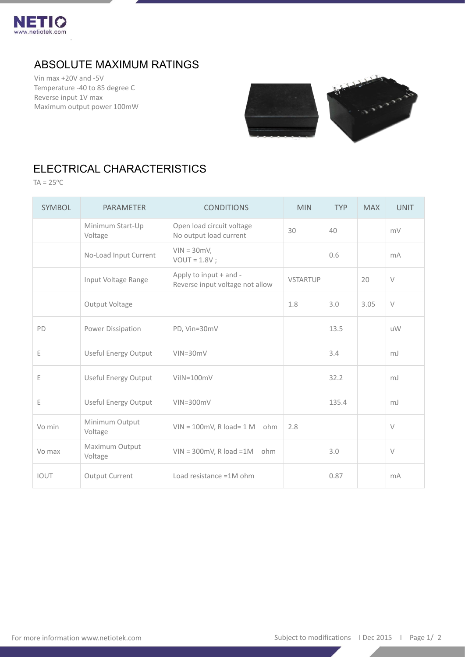

# ABSOLUTE MAXIMUM RATINGS

Vin max +20V and -5V Temperature -40 to 85 degree C Reverse input 1V max Maximum output power 100mW

.



# ELECTRICAL CHARACTERISTICS

 $TA = 25^{\circ}C$ 

| <b>SYMBOL</b> | <b>PARAMETER</b>            | <b>CONDITIONS</b>                                         | <b>MIN</b>      | <b>TYP</b> | <b>MAX</b> | <b>UNIT</b>    |
|---------------|-----------------------------|-----------------------------------------------------------|-----------------|------------|------------|----------------|
|               | Minimum Start-Up<br>Voltage | Open load circuit voltage<br>No output load current       | 30              | 40         |            | mV             |
|               | No-Load Input Current       | $VIN = 30mV,$<br>$VOUT = 1.8V$ ;                          |                 | 0.6        |            | m <sub>A</sub> |
|               | Input Voltage Range         | Apply to input + and -<br>Reverse input voltage not allow | <b>VSTARTUP</b> |            | 20         | $\vee$         |
|               | Output Voltage              |                                                           | 1.8             | 3.0        | 3.05       | $\vee$         |
| PD            | Power Dissipation           | PD, Vin=30mV                                              |                 | 13.5       |            | <b>uW</b>      |
| $\mathsf E$   | <b>Useful Energy Output</b> | $VIN = 30mV$                                              |                 | 3.4        |            | mJ             |
| E             | <b>Useful Energy Output</b> | $V$ il $N=100$ m $V$                                      |                 | 32.2       |            | mJ             |
| Ε             | <b>Useful Energy Output</b> | $VIN = 300mV$                                             |                 | 135.4      |            | mJ             |
| Vo min        | Minimum Output<br>Voltage   | $VIN = 100mV$ , R load= $1 M$ ohm                         | 2.8             |            |            | $\vee$         |
| Vo max        | Maximum Output<br>Voltage   | $VIN = 300mV, R load = 1M$ ohm                            |                 | 3.0        |            | $\vee$         |
| <b>IOUT</b>   | Output Current              | Load resistance =1M ohm                                   |                 | 0.87       |            | mA             |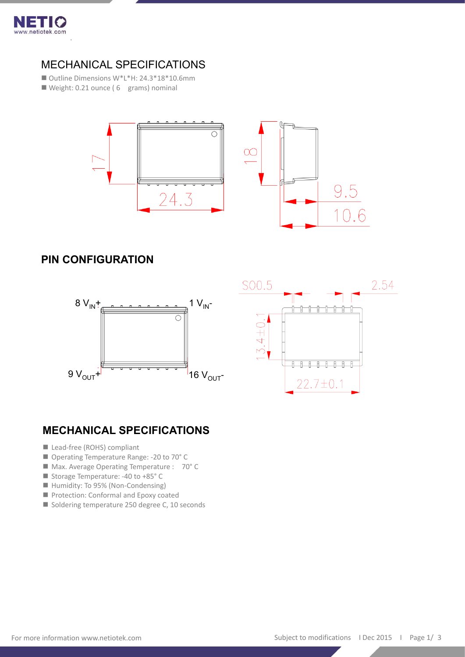

.

### MECHANICAL SPECIFICATIONS

■ Outline Dimensions W\*L\*H: 24.3\*18\*10.6mm

■ Weight: 0.21 ounce (6 grams) nominal



# **PIN CONFIGURATION**





# **MECHANICAL SPECIFICATIONS**

- Lead-free (ROHS) compliant
- Operating Temperature Range: -20 to 70° C
- Max. Average Operating Temperature : 70° C
- Storage Temperature: -40 to +85° C
- Humidity: To 95% (Non-Condensing)
- Protection: Conformal and Epoxy coated
- Soldering temperature 250 degree C, 10 seconds